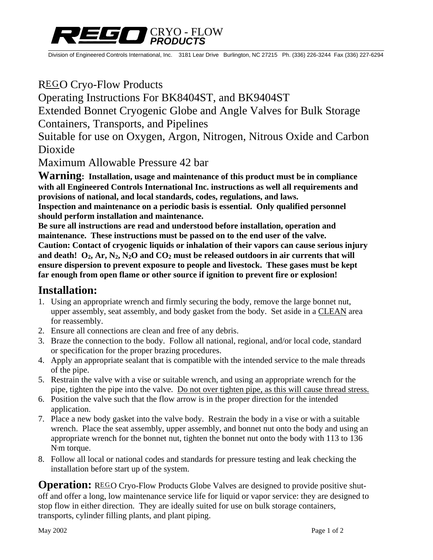

Division of Engineered Controls International, Inc. 3181 Lear Drive Burlington, NC 27215 Ph. (336) 226-3244 Fax (336) 227-6294

# REGO Cryo-Flow Products

Operating Instructions For BK8404ST, and BK9404ST

Extended Bonnet Cryogenic Globe and Angle Valves for Bulk Storage Containers, Transports, and Pipelines

Suitable for use on Oxygen, Argon, Nitrogen, Nitrous Oxide and Carbon Dioxide

Maximum Allowable Pressure 42 bar

**Warning: Installation, usage and maintenance of this product must be in compliance with all Engineered Controls International Inc. instructions as well all requirements and provisions of national, and local standards, codes, regulations, and laws. Inspection and maintenance on a periodic basis is essential. Only qualified personnel should perform installation and maintenance.** 

**Be sure all instructions are read and understood before installation, operation and maintenance. These instructions must be passed on to the end user of the valve. Caution: Contact of cryogenic liquids or inhalation of their vapors can cause serious injury**  and death!  $O_2$ ,  $Ar$ ,  $N_2$ ,  $N_2O$  and  $CO_2$  must be released outdoors in air currents that will **ensure dispersion to prevent exposure to people and livestock. These gases must be kept far enough from open flame or other source if ignition to prevent fire or explosion!** 

### **Installation:**

- 1. Using an appropriate wrench and firmly securing the body, remove the large bonnet nut, upper assembly, seat assembly, and body gasket from the body. Set aside in a CLEAN area for reassembly.
- 2. Ensure all connections are clean and free of any debris.
- 3. Braze the connection to the body. Follow all national, regional, and/or local code, standard or specification for the proper brazing procedures.
- 4. Apply an appropriate sealant that is compatible with the intended service to the male threads of the pipe.
- 5. Restrain the valve with a vise or suitable wrench, and using an appropriate wrench for the pipe, tighten the pipe into the valve. Do not over tighten pipe, as this will cause thread stress.
- 6. Position the valve such that the flow arrow is in the proper direction for the intended application.
- 7. Place a new body gasket into the valve body. Restrain the body in a vise or with a suitable wrench. Place the seat assembly, upper assembly, and bonnet nut onto the body and using an appropriate wrench for the bonnet nut, tighten the bonnet nut onto the body with 113 to 136 N**.** m torque.
- 8. Follow all local or national codes and standards for pressure testing and leak checking the installation before start up of the system.

**Operation:** REGO Cryo-Flow Products Globe Valves are designed to provide positive shutoff and offer a long, low maintenance service life for liquid or vapor service: they are designed to stop flow in either direction. They are ideally suited for use on bulk storage containers, transports, cylinder filling plants, and plant piping.